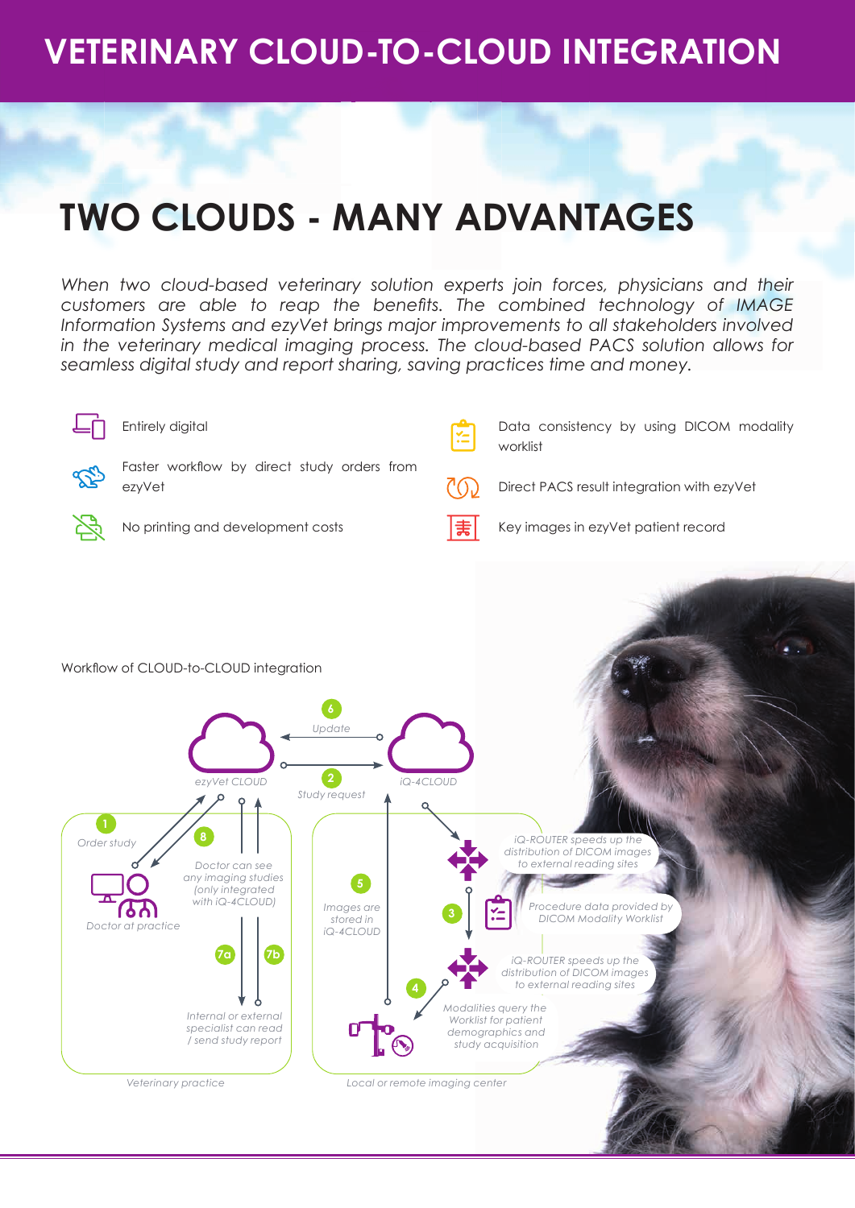### **VETERINARY CLOUD-TO-CLOUD INTEGRATION**

## **TWO CLOUDS - MANY ADVANTAGES**

When two cloud-based veterinary solution experts join forces, physicians and their *customers are able to reap the benefits. The combined technology of IMAGE Information Systems and ezyVet brings major improvements to all stakeholders involved in the veterinary medical imaging process. The cloud-based PACS solution allows for seamless digital study and report sharing, saving practices time and money.*